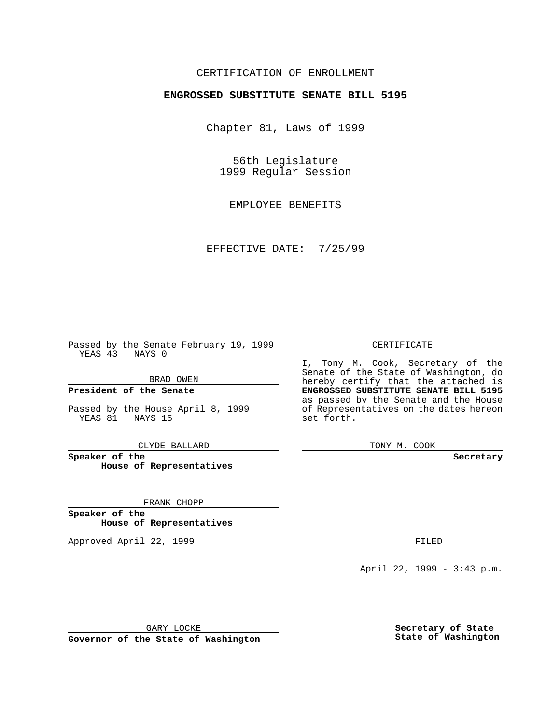## CERTIFICATION OF ENROLLMENT

# **ENGROSSED SUBSTITUTE SENATE BILL 5195**

Chapter 81, Laws of 1999

56th Legislature 1999 Regular Session

EMPLOYEE BENEFITS

EFFECTIVE DATE: 7/25/99

Passed by the Senate February 19, 1999 YEAS 43 NAYS 0

BRAD OWEN

**President of the Senate**

Passed by the House April 8, 1999 YEAS 81 NAYS 15

CLYDE BALLARD

**Speaker of the House of Representatives**

FRANK CHOPP

**Speaker of the House of Representatives**

Approved April 22, 1999 **FILED** 

### CERTIFICATE

I, Tony M. Cook, Secretary of the Senate of the State of Washington, do hereby certify that the attached is **ENGROSSED SUBSTITUTE SENATE BILL 5195** as passed by the Senate and the House of Representatives on the dates hereon set forth.

TONY M. COOK

#### **Secretary**

April 22, 1999 - 3:43 p.m.

GARY LOCKE

**Governor of the State of Washington**

**Secretary of State State of Washington**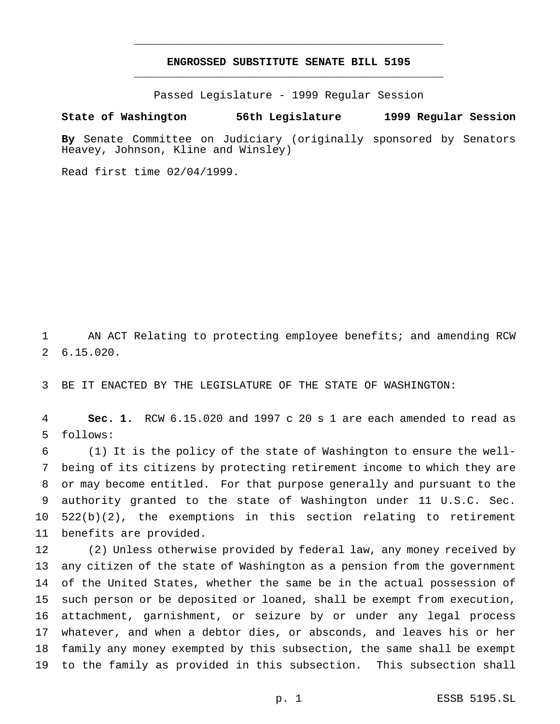## **ENGROSSED SUBSTITUTE SENATE BILL 5195** \_\_\_\_\_\_\_\_\_\_\_\_\_\_\_\_\_\_\_\_\_\_\_\_\_\_\_\_\_\_\_\_\_\_\_\_\_\_\_\_\_\_\_\_\_\_\_

\_\_\_\_\_\_\_\_\_\_\_\_\_\_\_\_\_\_\_\_\_\_\_\_\_\_\_\_\_\_\_\_\_\_\_\_\_\_\_\_\_\_\_\_\_\_\_

Passed Legislature - 1999 Regular Session

### **State of Washington 56th Legislature 1999 Regular Session**

**By** Senate Committee on Judiciary (originally sponsored by Senators Heavey, Johnson, Kline and Winsley)

Read first time 02/04/1999.

 AN ACT Relating to protecting employee benefits; and amending RCW 6.15.020.

BE IT ENACTED BY THE LEGISLATURE OF THE STATE OF WASHINGTON:

 **Sec. 1.** RCW 6.15.020 and 1997 c 20 s 1 are each amended to read as follows:

 (1) It is the policy of the state of Washington to ensure the well- being of its citizens by protecting retirement income to which they are or may become entitled. For that purpose generally and pursuant to the authority granted to the state of Washington under 11 U.S.C. Sec. 522(b)(2), the exemptions in this section relating to retirement benefits are provided.

 (2) Unless otherwise provided by federal law, any money received by any citizen of the state of Washington as a pension from the government of the United States, whether the same be in the actual possession of such person or be deposited or loaned, shall be exempt from execution, attachment, garnishment, or seizure by or under any legal process whatever, and when a debtor dies, or absconds, and leaves his or her family any money exempted by this subsection, the same shall be exempt to the family as provided in this subsection. This subsection shall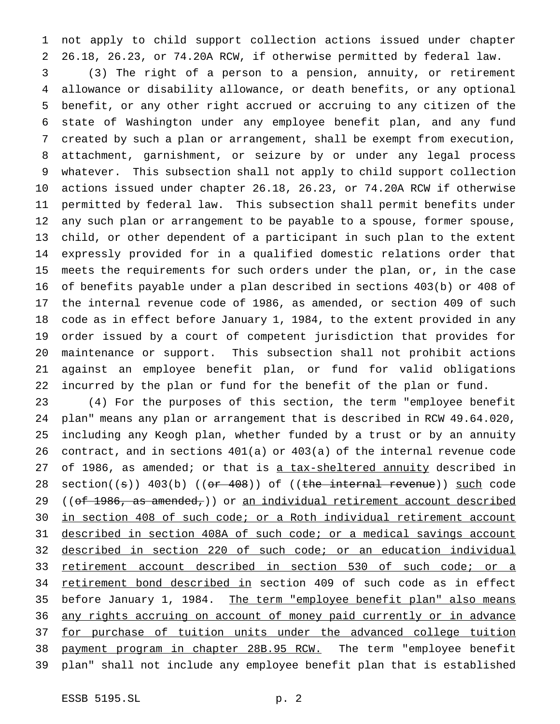not apply to child support collection actions issued under chapter 26.18, 26.23, or 74.20A RCW, if otherwise permitted by federal law.

 (3) The right of a person to a pension, annuity, or retirement allowance or disability allowance, or death benefits, or any optional benefit, or any other right accrued or accruing to any citizen of the state of Washington under any employee benefit plan, and any fund created by such a plan or arrangement, shall be exempt from execution, attachment, garnishment, or seizure by or under any legal process whatever. This subsection shall not apply to child support collection actions issued under chapter 26.18, 26.23, or 74.20A RCW if otherwise permitted by federal law. This subsection shall permit benefits under any such plan or arrangement to be payable to a spouse, former spouse, child, or other dependent of a participant in such plan to the extent expressly provided for in a qualified domestic relations order that meets the requirements for such orders under the plan, or, in the case of benefits payable under a plan described in sections 403(b) or 408 of the internal revenue code of 1986, as amended, or section 409 of such code as in effect before January 1, 1984, to the extent provided in any order issued by a court of competent jurisdiction that provides for maintenance or support. This subsection shall not prohibit actions against an employee benefit plan, or fund for valid obligations incurred by the plan or fund for the benefit of the plan or fund.

 (4) For the purposes of this section, the term "employee benefit plan" means any plan or arrangement that is described in RCW 49.64.020, including any Keogh plan, whether funded by a trust or by an annuity contract, and in sections 401(a) or 403(a) of the internal revenue code 27 of 1986, as amended; or that is a tax-sheltered annuity described in 28 section( $(s)$ ) 403(b) (( $o$ r 408)) of ((the internal revenue)) such code 29 ((of 1986, as amended,)) or an individual retirement account described in section 408 of such code; or a Roth individual retirement account described in section 408A of such code; or a medical savings account described in section 220 of such code; or an education individual retirement account described in section 530 of such code; or a 34 retirement bond described in section 409 of such code as in effect before January 1, 1984. The term "employee benefit plan" also means any rights accruing on account of money paid currently or in advance 37 for purchase of tuition units under the advanced college tuition 38 payment program in chapter 28B.95 RCW. The term "employee benefit plan" shall not include any employee benefit plan that is established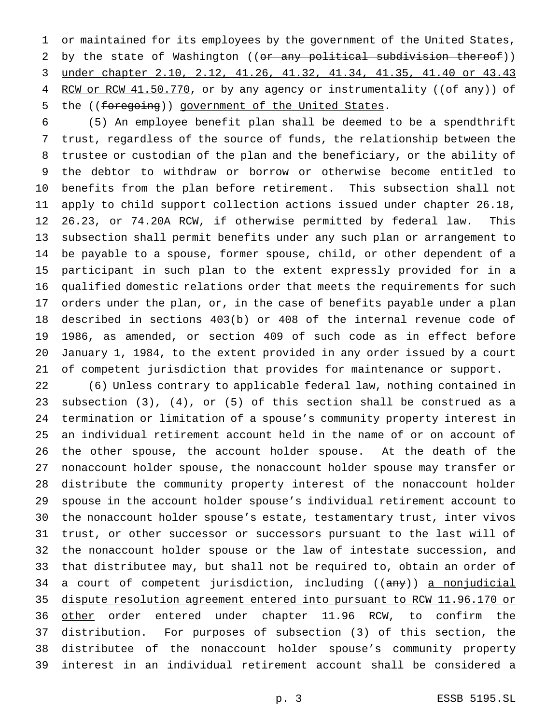or maintained for its employees by the government of the United States, 2 by the state of Washington ((or any political subdivision thereof)) under chapter 2.10, 2.12, 41.26, 41.32, 41.34, 41.35, 41.40 or 43.43 4 RCW or RCW 41.50.770, or by any agency or instrumentality ((of any)) of the ((foregoing)) government of the United States.

 (5) An employee benefit plan shall be deemed to be a spendthrift trust, regardless of the source of funds, the relationship between the trustee or custodian of the plan and the beneficiary, or the ability of the debtor to withdraw or borrow or otherwise become entitled to benefits from the plan before retirement. This subsection shall not apply to child support collection actions issued under chapter 26.18, 26.23, or 74.20A RCW, if otherwise permitted by federal law. This subsection shall permit benefits under any such plan or arrangement to be payable to a spouse, former spouse, child, or other dependent of a participant in such plan to the extent expressly provided for in a qualified domestic relations order that meets the requirements for such orders under the plan, or, in the case of benefits payable under a plan described in sections 403(b) or 408 of the internal revenue code of 1986, as amended, or section 409 of such code as in effect before January 1, 1984, to the extent provided in any order issued by a court of competent jurisdiction that provides for maintenance or support.

 (6) Unless contrary to applicable federal law, nothing contained in subsection (3), (4), or (5) of this section shall be construed as a termination or limitation of a spouse's community property interest in an individual retirement account held in the name of or on account of the other spouse, the account holder spouse. At the death of the nonaccount holder spouse, the nonaccount holder spouse may transfer or distribute the community property interest of the nonaccount holder spouse in the account holder spouse's individual retirement account to the nonaccount holder spouse's estate, testamentary trust, inter vivos trust, or other successor or successors pursuant to the last will of the nonaccount holder spouse or the law of intestate succession, and that distributee may, but shall not be required to, obtain an order of 34 a court of competent jurisdiction, including ((any)) a nonjudicial dispute resolution agreement entered into pursuant to RCW 11.96.170 or 36 other order entered under chapter 11.96 RCW, to confirm the distribution. For purposes of subsection (3) of this section, the distributee of the nonaccount holder spouse's community property interest in an individual retirement account shall be considered a